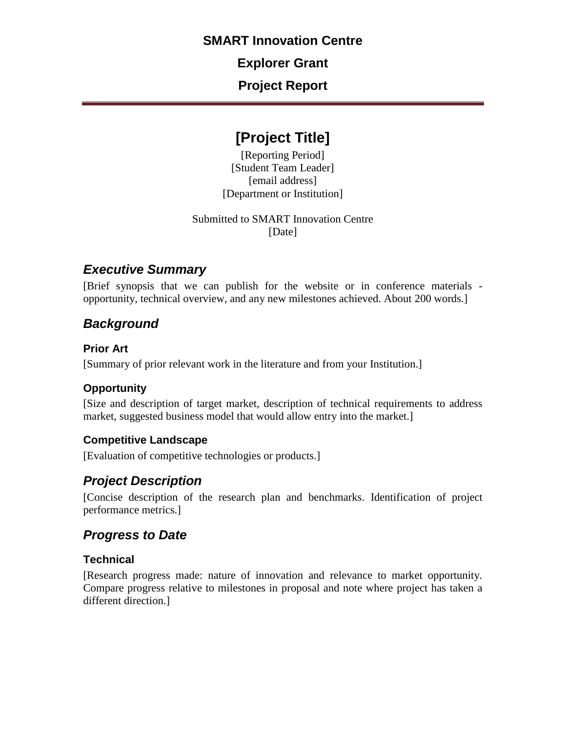## **SMART Innovation Centre**

**Explorer Grant**

**Project Report** 

# **[Project Title]**

[Reporting Period] [Student Team Leader] [email address] [Department or Institution]

Submitted to SMART Innovation Centre [Date]

# *Executive Summary*

[Brief synopsis that we can publish for the website or in conference materials opportunity, technical overview, and any new milestones achieved. About 200 words.]

# *Background*

### **Prior Art**

[Summary of prior relevant work in the literature and from your Institution.]

## **Opportunity**

[Size and description of target market, description of technical requirements to address market, suggested business model that would allow entry into the market.]

### **Competitive Landscape**

[Evaluation of competitive technologies or products.]

# *Project Description*

[Concise description of the research plan and benchmarks. Identification of project performance metrics.]

## *Progress to Date*

### **Technical**

[Research progress made: nature of innovation and relevance to market opportunity. Compare progress relative to milestones in proposal and note where project has taken a different direction.]